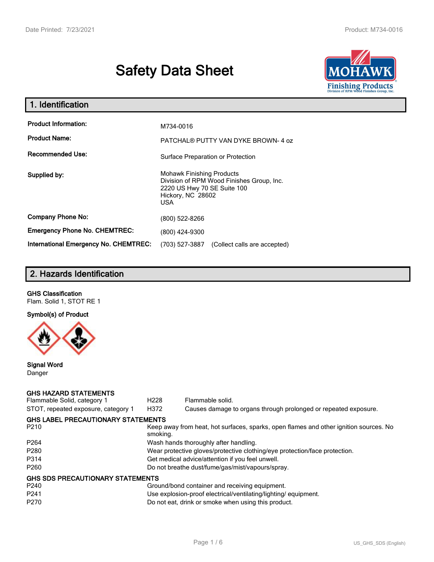# **Safety Data Sheet**



| 1. Identification                     |                                                                                                                                          |
|---------------------------------------|------------------------------------------------------------------------------------------------------------------------------------------|
| <b>Product Information:</b>           | M734-0016                                                                                                                                |
| <b>Product Name:</b>                  | PATCHAL® PUTTY VAN DYKE BROWN-4 oz                                                                                                       |
| <b>Recommended Use:</b>               | Surface Preparation or Protection                                                                                                        |
| Supplied by:                          | <b>Mohawk Finishing Products</b><br>Division of RPM Wood Finishes Group, Inc.<br>2220 US Hwy 70 SE Suite 100<br>Hickory, NC 28602<br>USA |
| <b>Company Phone No:</b>              | (800) 522-8266                                                                                                                           |
| <b>Emergency Phone No. CHEMTREC:</b>  | (800) 424-9300                                                                                                                           |
| International Emergency No. CHEMTREC: | (703) 527-3887<br>(Collect calls are accepted)                                                                                           |

# **2. Hazards Identification**

# **GHS Classification**

Flam. Solid 1, STOT RE 1

# **Symbol(s) of Product**



#### **Signal Word** Danger

## **GHS HAZARD STATEMENTS**

| Flammable Solid, category 1             | H <sub>228</sub>                                                                                  | Flammable solid.                                                |  |  |
|-----------------------------------------|---------------------------------------------------------------------------------------------------|-----------------------------------------------------------------|--|--|
| STOT, repeated exposure, category 1     | H372                                                                                              | Causes damage to organs through prolonged or repeated exposure. |  |  |
| GHS LABEL PRECAUTIONARY STATEMENTS      |                                                                                                   |                                                                 |  |  |
| P <sub>210</sub>                        | Keep away from heat, hot surfaces, sparks, open flames and other ignition sources. No<br>smoking. |                                                                 |  |  |
| P <sub>264</sub>                        |                                                                                                   | Wash hands thoroughly after handling.                           |  |  |
| P <sub>280</sub>                        | Wear protective gloves/protective clothing/eye protection/face protection.                        |                                                                 |  |  |
| P314                                    | Get medical advice/attention if you feel unwell.                                                  |                                                                 |  |  |
| P <sub>260</sub>                        | Do not breathe dust/fume/gas/mist/vapours/spray.                                                  |                                                                 |  |  |
| <b>GHS SDS PRECAUTIONARY STATEMENTS</b> |                                                                                                   |                                                                 |  |  |
| P <sub>240</sub>                        |                                                                                                   | Ground/bond container and receiving equipment.                  |  |  |
| P <sub>241</sub>                        |                                                                                                   | Use explosion-proof electrical/ventilating/lighting/ equipment. |  |  |
| P <sub>270</sub>                        |                                                                                                   | Do not eat, drink or smoke when using this product.             |  |  |
|                                         |                                                                                                   |                                                                 |  |  |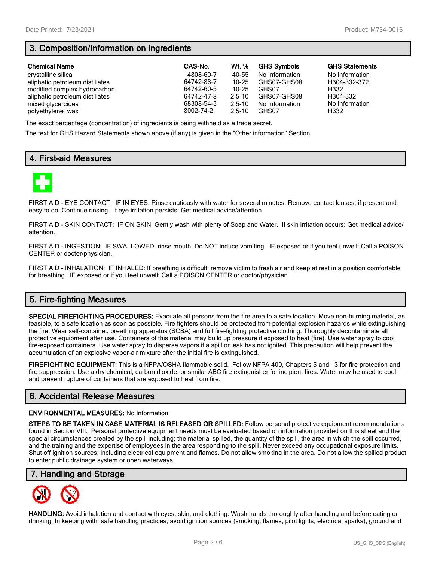# **3. Composition/Information on ingredients**

| <b>Chemical Name</b>            | CAS-No.    | Wt. %      | <b>GHS Symbols</b> | <b>GHS Statements</b> |
|---------------------------------|------------|------------|--------------------|-----------------------|
| crystalline silica              | 14808-60-7 | 40-55      | No Information     | No Information        |
| aliphatic petroleum distillates | 64742-88-7 | $10 - 25$  | GHS07-GHS08        | H304-332-372          |
| modified complex hydrocarbon    | 64742-60-5 | 10-25      | GHS07              | H332                  |
| aliphatic petroleum distillates | 64742-47-8 | $2.5 - 10$ | GHS07-GHS08        | H304-332              |
| mixed glycercides               | 68308-54-3 | $2.5 - 10$ | No Information     | No Information        |
| polyethylene wax                | 8002-74-2  | $2.5 - 10$ | GHS07              | H332                  |

The exact percentage (concentration) of ingredients is being withheld as a trade secret.

The text for GHS Hazard Statements shown above (if any) is given in the "Other information" Section.

# **4. First-aid Measures**



FIRST AID - EYE CONTACT: IF IN EYES: Rinse cautiously with water for several minutes. Remove contact lenses, if present and easy to do. Continue rinsing. If eye irritation persists: Get medical advice/attention.

FIRST AID - SKIN CONTACT: IF ON SKIN: Gently wash with plenty of Soap and Water. If skin irritation occurs: Get medical advice/ attention.

FIRST AID - INGESTION: IF SWALLOWED: rinse mouth. Do NOT induce vomiting. IF exposed or if you feel unwell: Call a POISON CENTER or doctor/physician.

FIRST AID - INHALATION: IF INHALED: If breathing is difficult, remove victim to fresh air and keep at rest in a position comfortable for breathing. IF exposed or if you feel unwell: Call a POISON CENTER or doctor/physician.

# **5. Fire-fighting Measures**

**SPECIAL FIREFIGHTING PROCEDURES:** Evacuate all persons from the fire area to a safe location. Move non-burning material, as feasible, to a safe location as soon as possible. Fire fighters should be protected from potential explosion hazards while extinguishing the fire. Wear self-contained breathing apparatus (SCBA) and full fire-fighting protective clothing. Thoroughly decontaminate all protective equipment after use. Containers of this material may build up pressure if exposed to heat (fire). Use water spray to cool fire-exposed containers. Use water spray to disperse vapors if a spill or leak has not ignited. This precaution will help prevent the accumulation of an explosive vapor-air mixture after the initial fire is extinguished.

**FIREFIGHTING EQUIPMENT:** This is a NFPA/OSHA flammable solid. Follow NFPA 400, Chapters 5 and 13 for fire protection and fire suppression. Use a dry chemical, carbon dioxide, or similar ABC fire extinguisher for incipient fires. Water may be used to cool and prevent rupture of containers that are exposed to heat from fire.

# **6. Accidental Release Measures**

#### **ENVIRONMENTAL MEASURES:** No Information

**STEPS TO BE TAKEN IN CASE MATERIAL IS RELEASED OR SPILLED:** Follow personal protective equipment recommendations found in Section VIII. Personal protective equipment needs must be evaluated based on information provided on this sheet and the special circumstances created by the spill including; the material spilled, the quantity of the spill, the area in which the spill occurred, and the training and the expertise of employees in the area responding to the spill. Never exceed any occupational exposure limits. Shut off ignition sources; including electrical equipment and flames. Do not allow smoking in the area. Do not allow the spilled product to enter public drainage system or open waterways.

## **7. Handling and Storage**



**HANDLING:** Avoid inhalation and contact with eyes, skin, and clothing. Wash hands thoroughly after handling and before eating or drinking. In keeping with safe handling practices, avoid ignition sources (smoking, flames, pilot lights, electrical sparks); ground and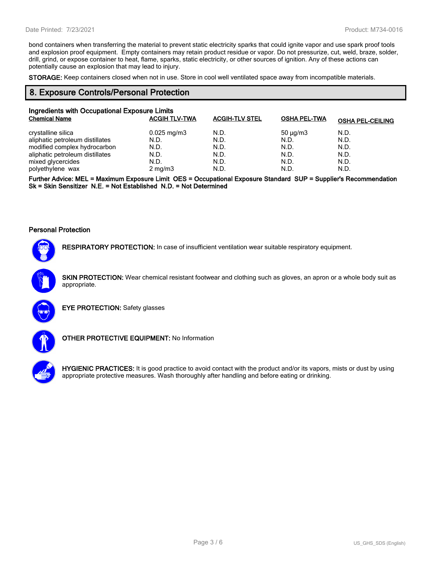bond containers when transferring the material to prevent static electricity sparks that could ignite vapor and use spark proof tools and explosion proof equipment. Empty containers may retain product residue or vapor. Do not pressurize, cut, weld, braze, solder, drill, grind, or expose container to heat, flame, sparks, static electricity, or other sources of ignition. Any of these actions can potentially cause an explosion that may lead to injury.

**STORAGE:** Keep containers closed when not in use. Store in cool well ventilated space away from incompatible materials.

### **8. Exposure Controls/Personal Protection**

| Ingredients with Occupational Exposure Limits<br><b>Chemical Name</b> | <b>ACGIH TLV-TWA</b>    | <b>ACGIH-TLV STEL</b> | <b>OSHA PEL-TWA</b> | <b>OSHA PEL-CEILING</b> |
|-----------------------------------------------------------------------|-------------------------|-----------------------|---------------------|-------------------------|
| crystalline silica                                                    | $0.025 \,\mathrm{mg/m}$ | N.D.                  | $50 \mu q/m3$       | N.D.                    |
| aliphatic petroleum distillates                                       | N.D.                    | N.D.                  | N.D.                | N.D.                    |
| modified complex hydrocarbon                                          | N.D.                    | N.D.                  | N.D.                | N.D.                    |
| aliphatic petroleum distillates                                       | N.D.                    | N.D.                  | N.D.                | N.D.                    |
| mixed glycercides                                                     | N.D.                    | N.D.                  | N.D.                | N.D.                    |
| polyethylene wax                                                      | $2$ mg/m $3$            | N.D.                  | N.D.                | N.D.                    |

**Further Advice: MEL = Maximum Exposure Limit OES = Occupational Exposure Standard SUP = Supplier's Recommendation Sk = Skin Sensitizer N.E. = Not Established N.D. = Not Determined**

#### **Personal Protection**



**RESPIRATORY PROTECTION:** In case of insufficient ventilation wear suitable respiratory equipment.

**SKIN PROTECTION:** Wear chemical resistant footwear and clothing such as gloves, an apron or a whole body suit as appropriate.



**EYE PROTECTION:** Safety glasses



**OTHER PROTECTIVE EQUIPMENT:** No Information



**HYGIENIC PRACTICES:** It is good practice to avoid contact with the product and/or its vapors, mists or dust by using appropriate protective measures. Wash thoroughly after handling and before eating or drinking.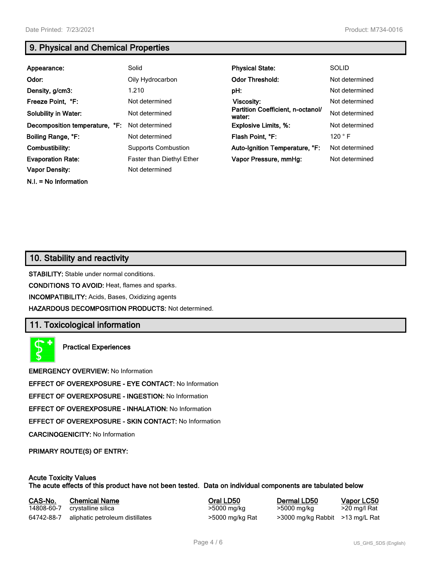**N.I. = No Information**

# **9. Physical and Chemical Properties**

| Appearance:                    | Solid                      | <b>Physical State:</b>                      | <b>SOLID</b>   |
|--------------------------------|----------------------------|---------------------------------------------|----------------|
| Odor:                          | Oily Hydrocarbon           | <b>Odor Threshold:</b>                      | Not determined |
| Density, g/cm3:                | 1.210                      | pH:                                         | Not determined |
| Freeze Point, °F:              | Not determined             | <b>Viscosity:</b>                           | Not determined |
| <b>Solubility in Water:</b>    | Not determined             | Partition Coefficient, n-octanol/<br>water: | Not determined |
| Decomposition temperature, °F: | Not determined             | <b>Explosive Limits, %:</b>                 | Not determined |
| Boiling Range, °F:             | Not determined             | Flash Point, °F:                            | 120 °F         |
| Combustibility:                | <b>Supports Combustion</b> | Auto-Ignition Temperature, °F:              | Not determined |
| <b>Evaporation Rate:</b>       | Faster than Diethyl Ether  | Vapor Pressure, mmHq:                       | Not determined |
| <b>Vapor Density:</b>          | Not determined             |                                             |                |

# **10. Stability and reactivity**

**STABILITY:** Stable under normal conditions.

**CONDITIONS TO AVOID:** Heat, flames and sparks.

**INCOMPATIBILITY:** Acids, Bases, Oxidizing agents

**HAZARDOUS DECOMPOSITION PRODUCTS:** Not determined.

## **11. Toxicological information**

**Practical Experiences**

**EMERGENCY OVERVIEW:** No Information

**EFFECT OF OVEREXPOSURE - EYE CONTACT:** No Information

**EFFECT OF OVEREXPOSURE - INGESTION:** No Information

**EFFECT OF OVEREXPOSURE - INHALATION:** No Information

**EFFECT OF OVEREXPOSURE - SKIN CONTACT:** No Information

**CARCINOGENICITY:** No Information

**PRIMARY ROUTE(S) OF ENTRY:**

#### **Acute Toxicity Values The acute effects of this product have not been tested. Data on individual components are tabulated below**

| CAS-No.    | <b>Chemical Name</b>            | Oral LD50       | Dermal LD50                     | Vapor LC50   |
|------------|---------------------------------|-----------------|---------------------------------|--------------|
| 14808-60-7 | crystalline silica              | >5000 mg/kg     | >5000 mg/kg                     | >20 mg/l Rat |
| 64742-88-7 | aliphatic petroleum distillates | >5000 mg/kg Rat | >3000 mg/kg Rabbit >13 mg/L Rat |              |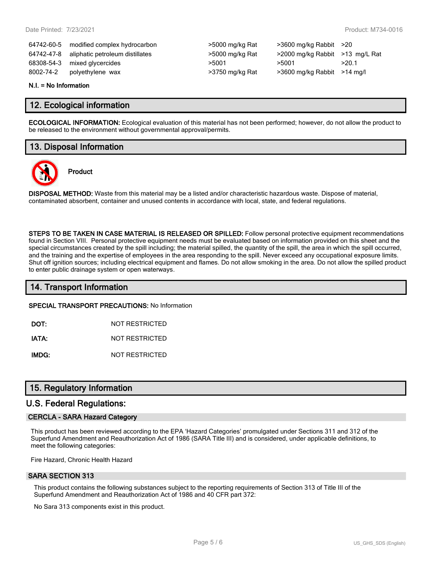64742-60-5 modified complex hydrocarbon >5000 mg/kg Rat >3600 mg/kg Rabbit >20 64742-47-8 aliphatic petroleum distillates >5000 mg/kg Rat >2000 mg/kg Rabbit >13 mg/L Rat 68308-54-3 mixed glycercides  $>5001$   $>5001$   $>5001$   $>20.1$ 8002-74-2 polyethylene wax >3750 mg/kg Rat >3600 mg/kg Rabbit >14 mg/l

| >5000 mg/kg Rat |
|-----------------|
| >5000 mg/kg Rat |
| >5001           |
| >3750 mg/kg Rat |

#### **N.I. = No Information**

## **12. Ecological information**

**ECOLOGICAL INFORMATION:** Ecological evaluation of this material has not been performed; however, do not allow the product to be released to the environment without governmental approval/permits.

# **13. Disposal Information**

**Product**



**DISPOSAL METHOD:** Waste from this material may be a listed and/or characteristic hazardous waste. Dispose of material, contaminated absorbent, container and unused contents in accordance with local, state, and federal regulations.

**STEPS TO BE TAKEN IN CASE MATERIAL IS RELEASED OR SPILLED:** Follow personal protective equipment recommendations found in Section VIII. Personal protective equipment needs must be evaluated based on information provided on this sheet and the special circumstances created by the spill including; the material spilled, the quantity of the spill, the area in which the spill occurred, and the training and the expertise of employees in the area responding to the spill. Never exceed any occupational exposure limits. Shut off ignition sources; including electrical equipment and flames. Do not allow smoking in the area. Do not allow the spilled product to enter public drainage system or open waterways.

# **14. Transport Information**

**SPECIAL TRANSPORT PRECAUTIONS:** No Information

**DOT:** NOT RESTRICTED

**IATA:** NOT RESTRICTED

**IMDG:** NOT RESTRICTED

# **15. Regulatory Information**

## **U.S. Federal Regulations:**

#### **CERCLA - SARA Hazard Category**

This product has been reviewed according to the EPA 'Hazard Categories' promulgated under Sections 311 and 312 of the Superfund Amendment and Reauthorization Act of 1986 (SARA Title III) and is considered, under applicable definitions, to meet the following categories:

Fire Hazard, Chronic Health Hazard

#### **SARA SECTION 313**

This product contains the following substances subject to the reporting requirements of Section 313 of Title III of the Superfund Amendment and Reauthorization Act of 1986 and 40 CFR part 372:

No Sara 313 components exist in this product.